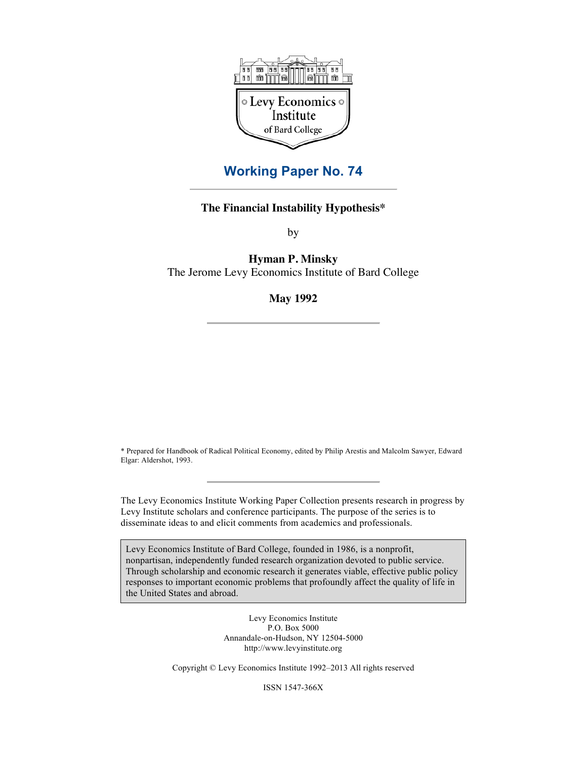

## **Working Paper No. 74**

## **The Financial Instability Hypothesis\***

by

**Hyman P. Minsky**

The Jerome Levy Economics Institute of Bard College

## **May 1992**

\* Prepared for Handbook of Radical Political Economy, edited by Philip Arestis and Malcolm Sawyer, Edward Elgar: Aldershot, 1993.

The Levy Economics Institute Working Paper Collection presents research in progress by Levy Institute scholars and conference participants. The purpose of the series is to disseminate ideas to and elicit comments from academics and professionals.

Levy Economics Institute of Bard College, founded in 1986, is a nonprofit, nonpartisan, independently funded research organization devoted to public service. Through scholarship and economic research it generates viable, effective public policy responses to important economic problems that profoundly affect the quality of life in the United States and abroad.

> Levy Economics Institute P.O. Box 5000 Annandale-on-Hudson, NY 12504-5000 http://www.levyinstitute.org

Copyright © Levy Economics Institute 1992–2013 All rights reserved

ISSN 1547-366X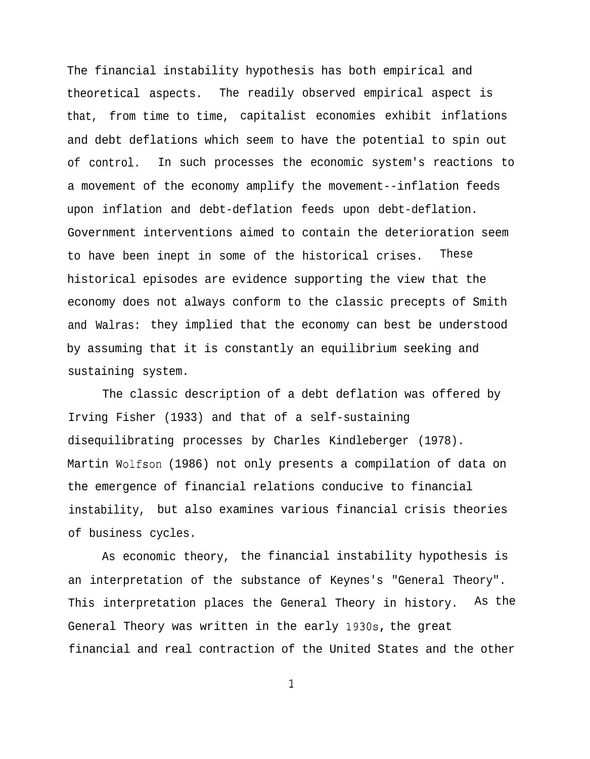The financial instability hypothesis has both empirical and theoretical aspects. The readily observed empirical aspect is that, from time to time, capitalist economies exhibit inflations and debt deflations which seem to have the potential to spin out of control. In such processes the economic system's reactions to a movement of the economy amplify the movement--inflation feeds upon inflation and debt-deflation feeds upon debt-deflation. Government interventions aimed to contain the deterioration seem to have been inept in some of the historical crises. These historical episodes are evidence supporting the view that the economy does not always conform to the classic precepts of Smith and Walras: they implied that the economy can best be understood by assuming that it is constantly an equilibrium seeking and sustaining system.

The classic description of a debt deflation was offered by Irving Fisher (1933) and that of a self-sustaining disequilibrating processes by Charles Kindleberger (1978). Martin Wolfson (1986) not only presents a compilation of data on the emergence of financial relations conducive to financial instability, but also examines various financial crisis theories of business cycles.

As economic theory, the financial instability hypothesis is an interpretation of the substance of Keynes's "General Theory". This interpretation places the General Theory in history. As the General Theory was written in the early 193Os, the great financial and real contraction of the United States and the other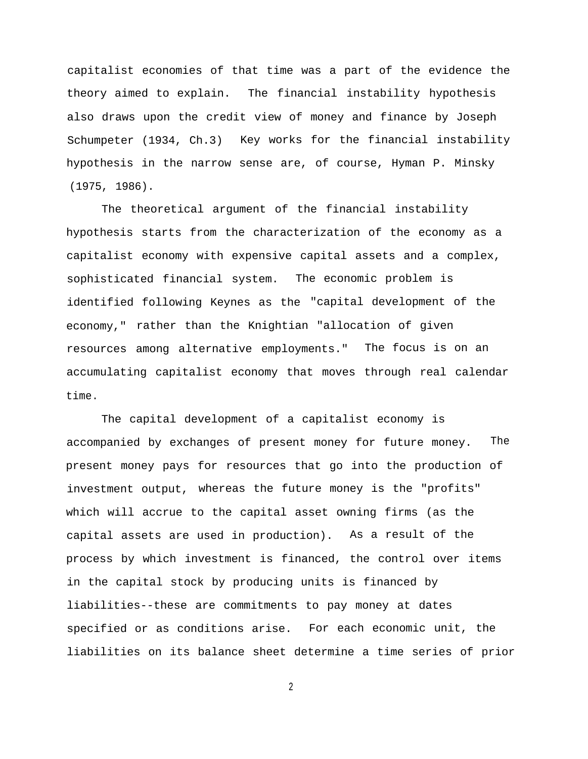capitalist economies of that time was a part of the evidence the theory aimed to explain. The financial instability hypothesis also draws upon the credit view of money and finance by Joseph Schumpeter (1934, Ch.3) Key works for the financial instability hypothesis in the narrow sense are, of course, Hyman P. Minsky (1975, 1986).

The theoretical argument of the financial instability hypothesis starts from the characterization of the economy as a capitalist economy with expensive capital assets and a complex, sophisticated financial system. The economic problem is identified following Keynes as the "capital development of the economy," rather than the Knightian "allocation of given resources among alternative employments." The focus is on an accumulating capitalist economy that moves through real calendar time.

The capital development of a capitalist economy is accompanied by exchanges of present money for future money. The present money pays for resources that go into the production of investment output, whereas the future money is the "profits" which will accrue to the capital asset owning firms (as the capital assets are used in production). As a result of the process by which investment is financed, the control over items in the capital stock by producing units is financed by liabilities--these are commitments to pay money at dates specified or as conditions arise. For each economic unit, the liabilities on its balance sheet determine a time series of prior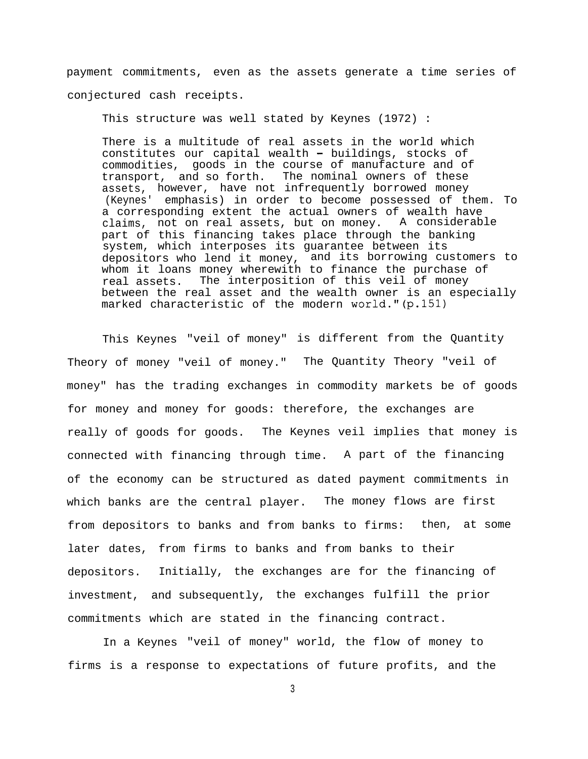payment commitments, even as the assets generate a time series of conjectured cash receipts.

This structure was well stated by Keynes (1972) :

There is a multitude of real assets in the world which constitutes our capital wealth - buildings, stocks of commodities, goods in the course of manufacture and of transport, and so forth. The nominal owners of these assets, however, have not infrequently borrowed money (Keynes' emphasis) in order to become possessed of them. To a corresponding extent the actual owners of wealth have claims, not on real assets, but on money. A considerable part of this financing takes place through the banking system, which interposes its guarantee between its depositors who lend it money, and its borrowing customers to whom it loans money wherewith to finance the purchase of real assets. The interposition of this veil of money between the real asset and the wealth owner is an especially marked characteristic of the modern world." (p.151)

This Keynes "veil of money" is different from the Quantity Theory of money "veil of money." The Quantity Theory "veil of money" has the trading exchanges in commodity markets be of goods for money and money for goods: therefore, the exchanges are really of goods for goods. The Keynes veil implies that money is connected with financing through time. A part of the financing of the economy can be structured as dated payment commitments in which banks are the central player. The money flows are first from depositors to banks and from banks to firms: then, at some later dates, from firms to banks and from banks to their depositors. Initially, the exchanges are for the financing of investment, and subsequently, the exchanges fulfill the prior commitments which are stated in the financing contract.

In a Keynes "veil of money" world, the flow of money to firms is a response to expectations of future profits, and the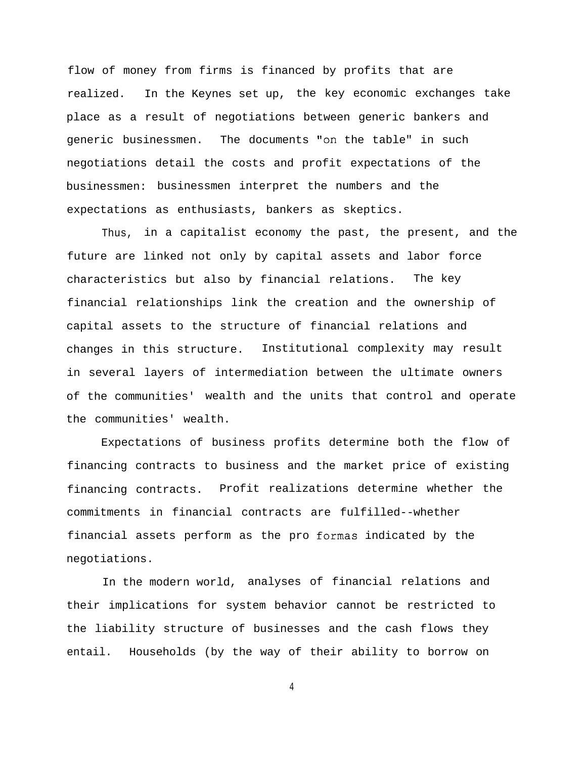flow of money from firms is financed by profits that are realized. In the Keynes set up, the key economic exchanges take place as a result of negotiations between generic bankers and generic businessmen. The documents "on the table" in such negotiations detail the costs and profit expectations of the businessmen: businessmen interpret the numbers and the expectations as enthusiasts, bankers as skeptics.

Thus, in a capitalist economy the past, the present, and the future are linked not only by capital assets and labor force characteristics but also by financial relations. The key financial relationships link the creation and the ownership of capital assets to the structure of financial relations and changes in this structure. Institutional complexity may result in several layers of intermediation between the ultimate owners of the communities' wealth and the units that control and operate the communities' wealth.

Expectations of business profits determine both the flow of financing contracts to business and the market price of existing financing contracts. Profit realizations determine whether the commitments in financial contracts are fulfilled--whether financial assets perform as the pro formas indicated by the negotiations.

In the modern world, analyses of financial relations and their implications for system behavior cannot be restricted to the liability structure of businesses and the cash flows they entail. Households (by the way of their ability to borrow on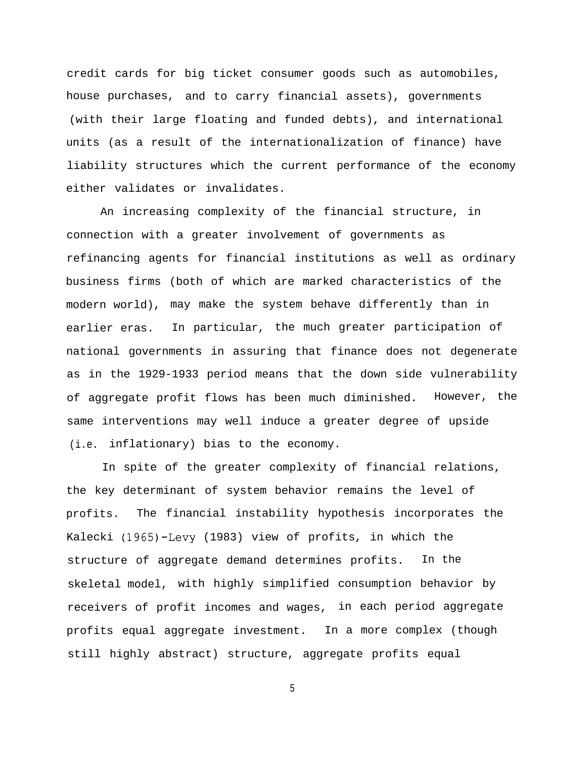credit cards for big ticket consumer goods such as automobiles, house purchases, and to carry financial assets), governments (with their large floating and funded debts), and international units (as a result of the internationalization of finance) have liability structures which the current performance of the economy either validates or invalidates.

An increasing complexity of the financial structure, in connection with a greater involvement of governments as refinancing agents for financial institutions as well as ordinary business firms (both of which are marked characteristics of the modern world), may make the system behave differently than in earlier eras. In particular, the much greater participation of national governments in assuring that finance does not degenerate as in the 1929-1933 period means that the down side vulnerability of aggregate profit flows has been much diminished. However, the same interventions may well induce a greater degree of upside (i.e. inflationary) bias to the economy.

In spite of the greater complexity of financial relations, the key determinant of system behavior remains the level of profits. The financial instability hypothesis incorporates the Kalecki (1965)-Levy (1983) view of profits, in which the structure of aggregate demand determines profits. In the skeletal model, with highly simplified consumption behavior by receivers of profit incomes and wages, in each period aggregate profits equal aggregate investment. In a more complex (though still highly abstract) structure, aggregate profits equal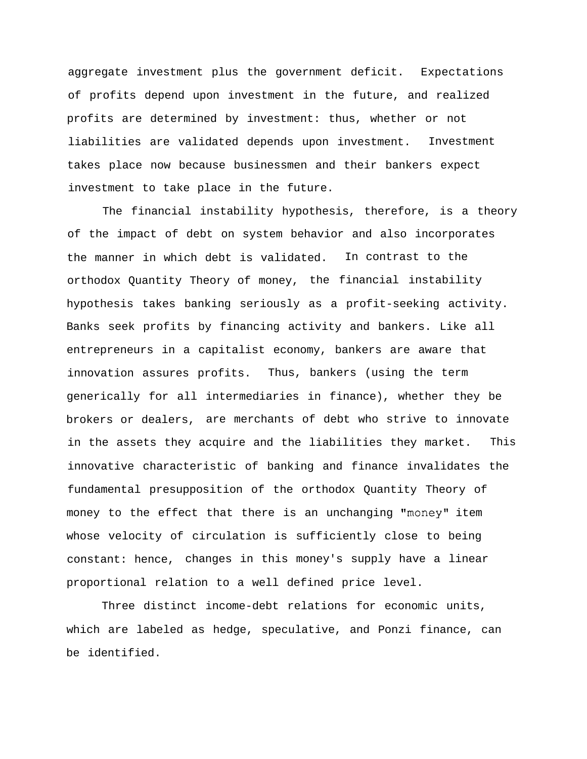aggregate investment plus the government deficit. Expectations of profits depend upon investment in the future, and realized profits are determined by investment: thus, whether or not liabilities are validated depends upon investment. Investment takes place now because businessmen and their bankers expect investment to take place in the future.

The financial instability hypothesis, therefore, is a theory of the impact of debt on system behavior and also incorporates the manner in which debt is validated. In contrast to the orthodox Quantity Theory of money, the financial instability hypothesis takes banking seriously as a profit-seeking activity. Banks seek profits by financing activity and bankers. Like all entrepreneurs in a capitalist economy, bankers are aware that innovation assures profits. Thus, bankers (using the term generically for all intermediaries in finance), whether they be brokers or dealers, are merchants of debt who strive to innovate in the assets they acquire and the liabilities they market. This innovative characteristic of banking and finance invalidates the fundamental presupposition of the orthodox Quantity Theory of money to the effect that there is an unchanging "money" item whose velocity of circulation is sufficiently close to being constant: hence, changes in this money's supply have a linear proportional relation to a well defined price level.

Three distinct income-debt relations for economic units, which are labeled as hedge, speculative, and Ponzi finance, can be identified.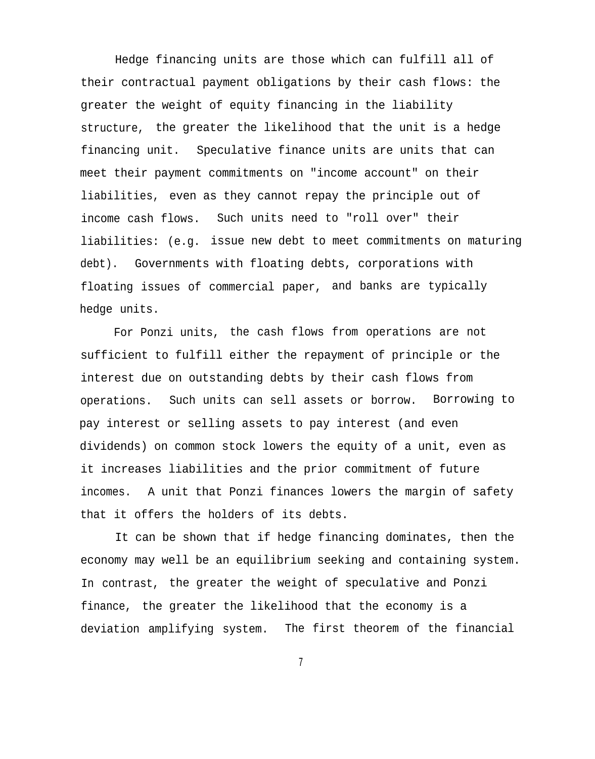Hedge financing units are those which can fulfill all of their contractual payment obligations by their cash flows: the greater the weight of equity financing in the liability structure, the greater the likelihood that the unit is a hedge financing unit. Speculative finance units are units that can meet their payment commitments on "income account" on their liabilities, even as they cannot repay the principle out of income cash flows. Such units need to "roll over" their liabilities: (e.g. issue new debt to meet commitments on maturing debt). Governments with floating debts, corporations with floating issues of commercial paper, and banks are typically hedge units.

For Ponzi units, the cash flows from operations are not sufficient to fulfill either the repayment of principle or the interest due on outstanding debts by their cash flows from operations. Such units can sell assets or borrow. Borrowing to pay interest or selling assets to pay interest (and even dividends) on common stock lowers the equity of a unit, even as it increases liabilities and the prior commitment of future incomes. A unit that Ponzi finances lowers the margin of safety that it offers the holders of its debts.

It can be shown that if hedge financing dominates, then the economy may well be an equilibrium seeking and containing system. In contrast, the greater the weight of speculative and Ponzi finance, the greater the likelihood that the economy is a deviation amplifying system. The first theorem of the financial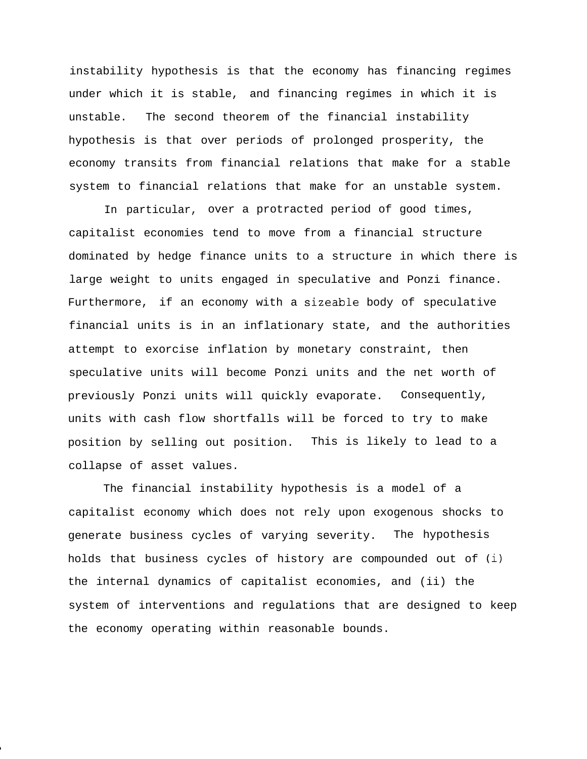instability hypothesis is that the economy has financing regimes under which it is stable, and financing regimes in which it is unstable. The second theorem of the financial instability hypothesis is that over periods of prolonged prosperity, the economy transits from financial relations that make for a stable system to financial relations that make for an unstable system.

In particular, over a protracted period of good times, capitalist economies tend to move from a financial structure dominated by hedge finance units to a structure in which there is large weight to units engaged in speculative and Ponzi finance. Furthermore, if an economy with a sizeable body of speculative financial units is in an inflationary state, and the authorities attempt to exorcise inflation by monetary constraint, then speculative units will become Ponzi units and the net worth of previously Ponzi units will quickly evaporate. Consequently, units with cash flow shortfalls will be forced to try to make position by selling out position. This is likely to lead to a collapse of asset values.

The financial instability hypothesis is a model of a capitalist economy which does not rely upon exogenous shocks to generate business cycles of varying severity. The hypothesis holds that business cycles of history are compounded out of (i) the internal dynamics of capitalist economies, and (ii) the system of interventions and regulations that are designed to keep the economy operating within reasonable bounds.